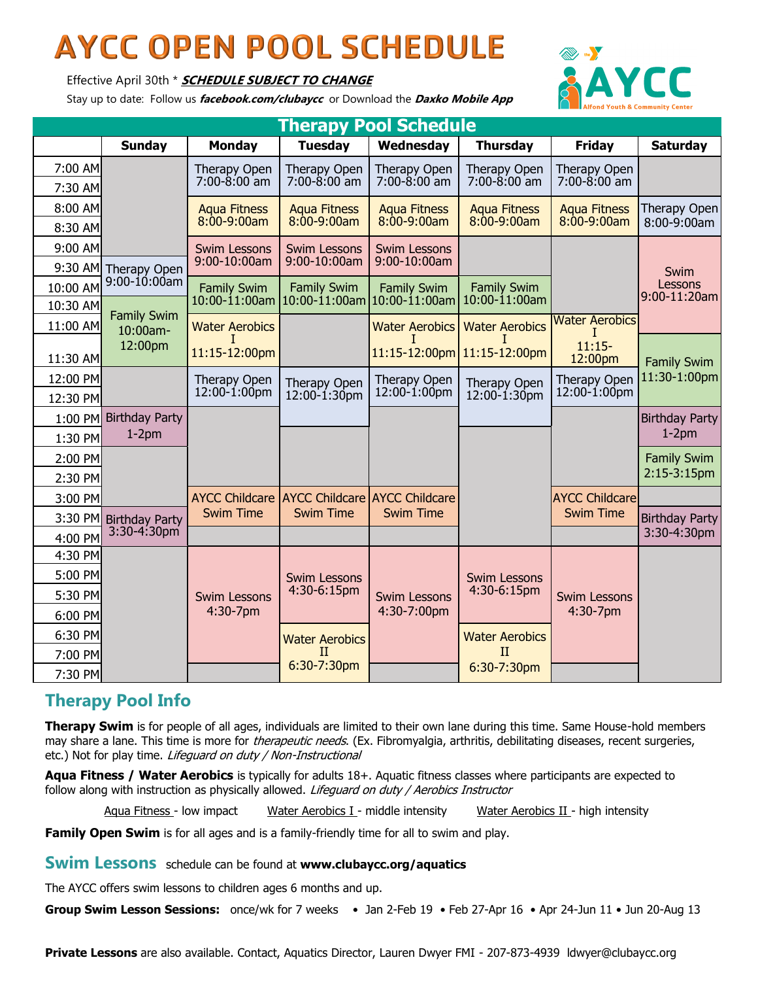## **AYCC OPEN POOL SCHEDULE**

Effective April 30th \* **SCHEDULE SUBJECT TO CHANGE**

Stay up to date: Follow us **facebook.com/clubaycc** or Download the **Daxko Mobile App** 



| <b>Therapy Pool Schedule</b> |                       |                                          |                                      |                                          |                                          |                                      |                             |  |  |  |  |  |
|------------------------------|-----------------------|------------------------------------------|--------------------------------------|------------------------------------------|------------------------------------------|--------------------------------------|-----------------------------|--|--|--|--|--|
|                              | <b>Sunday</b>         | <b>Monday</b>                            | <b>Tuesday</b>                       | Wednesday                                | <b>Thursday</b>                          | <b>Friday</b>                        | <b>Saturday</b>             |  |  |  |  |  |
| 7:00 AM                      |                       | Therapy Open                             | Therapy Open                         | Therapy Open                             | Therapy Open                             | Therapy Open                         |                             |  |  |  |  |  |
| 7:30 AM                      |                       | $7:00 - 8:00$ am                         | $7:00 - 8:00$ am                     | $7:00 - 8:00$ am                         | $7:00 - 8:00$ am                         | $7:00 - 8:00$ am                     |                             |  |  |  |  |  |
| 8:00 AM                      |                       | <b>Aqua Fitness</b><br>$8:00-9:00am$     | <b>Aqua Fitness</b><br>$8:00-9:00am$ | <b>Aqua Fitness</b><br>$8:00-9:00am$     | <b>Aqua Fitness</b><br>$8:00-9:00am$     | <b>Aqua Fitness</b><br>$8:00-9:00am$ | Therapy Open<br>8:00-9:00am |  |  |  |  |  |
| 8:30 AM                      |                       |                                          |                                      |                                          |                                          |                                      |                             |  |  |  |  |  |
| 9:00 AM                      |                       | <b>Swim Lessons</b><br>9:00-10:00am      | <b>Swim Lessons</b><br>9:00-10:00am  | <b>Swim Lessons</b><br>9:00-10:00am      |                                          |                                      |                             |  |  |  |  |  |
|                              | 9:30 AM Therapy Open  |                                          |                                      |                                          |                                          |                                      | Swim                        |  |  |  |  |  |
| 10:00 AM                     | 9:00-10:00am          | <b>Family Swim</b><br>$10:00 - 11:00$ am | <b>Family Swim</b><br>10:00-11:00am  | <b>Family Swim</b><br>$10:00 - 11:00$ am | <b>Family Swim</b><br>$10:00 - 11:00$ am |                                      | Lessons<br>$9:00-11:20am$   |  |  |  |  |  |
| 10:30 AM                     | <b>Family Swim</b>    |                                          |                                      |                                          |                                          | <b>Water Aerobics</b>                |                             |  |  |  |  |  |
| 11:00 AM                     | 10:00am-              | <b>Water Aerobics</b>                    |                                      | <b>Water Aerobics</b>                    | <b>Water Aerobics</b>                    |                                      |                             |  |  |  |  |  |
| 11:30 AM                     | 12:00pm               | 11:15-12:00pm                            |                                      |                                          | 11:15-12:00pm 11:15-12:00pm              | $11:15-$<br>12:00pm                  | <b>Family Swim</b>          |  |  |  |  |  |
| 12:00 PM                     |                       | Therapy Open                             | Therapy Open                         | Therapy Open                             | Therapy Open                             | <b>Therapy Open</b>                  | 11:30-1:00pm                |  |  |  |  |  |
| 12:30 PM                     |                       | $12:00-1:00$ pm                          | $12:00 - 1:30$ pm                    | $12:00 - 1:00$ pm                        | 12:00-1:30pm                             | $12:00 - 1:00$ pm                    |                             |  |  |  |  |  |
| 1:00 PM                      | <b>Birthday Party</b> |                                          |                                      |                                          |                                          |                                      | <b>Birthday Party</b>       |  |  |  |  |  |
| 1:30 PM                      | $1-2pm$               |                                          |                                      |                                          |                                          |                                      | $1-2pm$                     |  |  |  |  |  |
| 2:00 PM                      |                       |                                          |                                      |                                          |                                          |                                      | <b>Family Swim</b>          |  |  |  |  |  |
| 2:30 PM                      |                       |                                          |                                      |                                          |                                          |                                      | 2:15-3:15pm                 |  |  |  |  |  |
| 3:00 PM                      |                       | <b>AYCC Childcare</b>                    | <b>AYCC Childcare</b>                | <b>AYCC Childcare</b>                    |                                          | <b>AYCC Childcare</b>                |                             |  |  |  |  |  |
| 3:30 PM                      | <b>Birthday Party</b> | <b>Swim Time</b>                         | <b>Swim Time</b>                     | <b>Swim Time</b>                         |                                          | <b>Swim Time</b>                     | <b>Birthday Party</b>       |  |  |  |  |  |
| 4:00 PM                      | $3:30 - 4:30$ pm      |                                          |                                      |                                          |                                          |                                      | 3:30-4:30pm                 |  |  |  |  |  |
| 4:30 PM                      |                       |                                          |                                      |                                          |                                          |                                      |                             |  |  |  |  |  |
| 5:00 PM                      |                       |                                          | <b>Swim Lessons</b>                  |                                          | <b>Swim Lessons</b>                      |                                      |                             |  |  |  |  |  |
| 5:30 PM                      |                       | <b>Swim Lessons</b>                      | 4:30-6:15pm                          | <b>Swim Lessons</b>                      | 4:30-6:15pm                              | <b>Swim Lessons</b>                  |                             |  |  |  |  |  |
| 6:00 PM                      |                       | 4:30-7pm                                 |                                      | 4:30-7:00pm                              |                                          | 4:30-7pm                             |                             |  |  |  |  |  |
| 6:30 PM                      |                       |                                          | <b>Water Aerobics</b>                |                                          | <b>Water Aerobics</b>                    |                                      |                             |  |  |  |  |  |
| 7:00 PM                      |                       |                                          | $_{\rm II}$<br>6:30-7:30pm           |                                          | II                                       |                                      |                             |  |  |  |  |  |
| 7:30 PM                      |                       |                                          |                                      |                                          | 6:30-7:30pm                              |                                      |                             |  |  |  |  |  |

## **Therapy Pool Info**

**Therapy Swim** is for people of all ages, individuals are limited to their own lane during this time. Same House-hold members may share a lane. This time is more for *therapeutic needs*. (Ex. Fibromyalgia, arthritis, debilitating diseases, recent surgeries, etc.) Not for play time. Lifeguard on duty / Non-Instructional

**Aqua Fitness / Water Aerobics** is typically for adults 18+. Aquatic fitness classes where participants are expected to follow along with instruction as physically allowed. Lifeguard on duty / Aerobics Instructor

Aqua Fitness - low impact Water Aerobics I - middle intensity Water Aerobics II - high intensity

**Family Open Swim** is for all ages and is a family-friendly time for all to swim and play.

**Swim Lessons** schedule can be found at **www.clubaycc.org/aquatics**

The AYCC offers swim lessons to children ages 6 months and up.

**Group Swim Lesson Sessions:** once/wk for 7 weeks • Jan 2-Feb 19 • Feb 27-Apr 16 • Apr 24-Jun 11 • Jun 20-Aug 13

**Private Lessons** are also available. Contact, Aquatics Director, Lauren Dwyer FMI - 207-873-4939 ldwyer@clubaycc.org